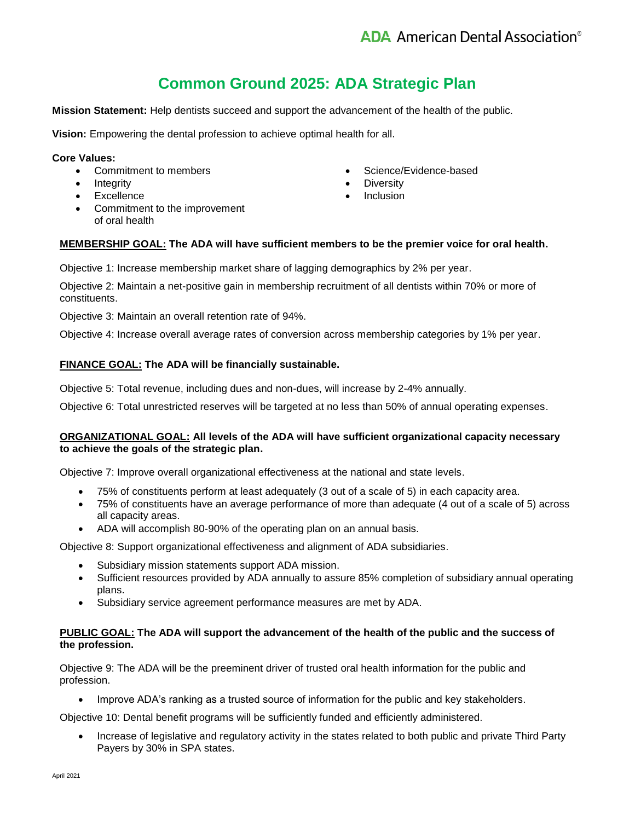# **Common Ground 2025: ADA Strategic Plan**

**Mission Statement:** Help dentists succeed and support the advancement of the health of the public.

**Vision:** Empowering the dental profession to achieve optimal health for all.

#### **Core Values:**

- Commitment to members
- Integrity
- Excellence
- Commitment to the improvement of oral health
- Science/Evidence-based
- Diversity
- **Inclusion**

# **MEMBERSHIP GOAL: The ADA will have sufficient members to be the premier voice for oral health.**

Objective 1: Increase membership market share of lagging demographics by 2% per year.

Objective 2: Maintain a net-positive gain in membership recruitment of all dentists within 70% or more of constituents.

Objective 3: Maintain an overall retention rate of 94%.

Objective 4: Increase overall average rates of conversion across membership categories by 1% per year.

## **FINANCE GOAL: The ADA will be financially sustainable.**

Objective 5: Total revenue, including dues and non-dues, will increase by 2-4% annually.

Objective 6: Total unrestricted reserves will be targeted at no less than 50% of annual operating expenses.

### **ORGANIZATIONAL GOAL: All levels of the ADA will have sufficient organizational capacity necessary to achieve the goals of the strategic plan.**

Objective 7: Improve overall organizational effectiveness at the national and state levels.

- 75% of constituents perform at least adequately (3 out of a scale of 5) in each capacity area.
- 75% of constituents have an average performance of more than adequate (4 out of a scale of 5) across all capacity areas.
- ADA will accomplish 80-90% of the operating plan on an annual basis.

Objective 8: Support organizational effectiveness and alignment of ADA subsidiaries.

- Subsidiary mission statements support ADA mission.
- Sufficient resources provided by ADA annually to assure 85% completion of subsidiary annual operating plans.
- Subsidiary service agreement performance measures are met by ADA.

#### **PUBLIC GOAL: The ADA will support the advancement of the health of the public and the success of the profession.**

Objective 9: The ADA will be the preeminent driver of trusted oral health information for the public and profession.

Improve ADA's ranking as a trusted source of information for the public and key stakeholders.

Objective 10: Dental benefit programs will be sufficiently funded and efficiently administered.

 Increase of legislative and regulatory activity in the states related to both public and private Third Party Payers by 30% in SPA states.